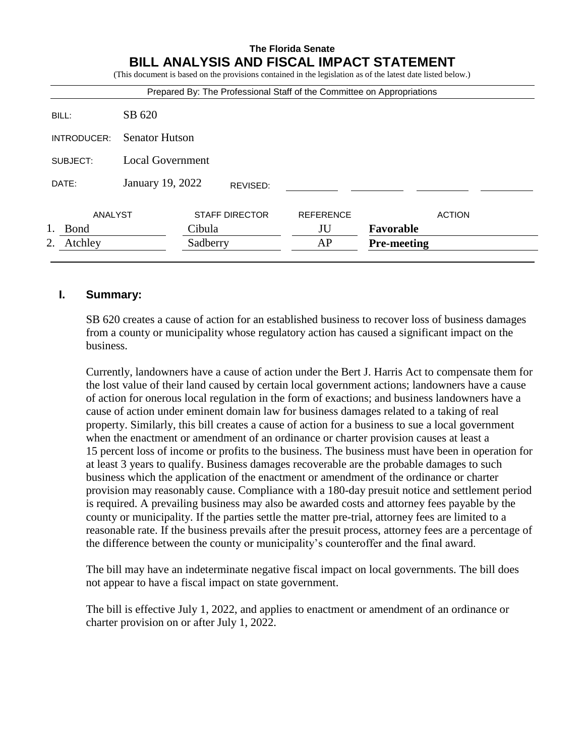# **The Florida Senate BILL ANALYSIS AND FISCAL IMPACT STATEMENT**

(This document is based on the provisions contained in the legislation as of the latest date listed below.)

| Prepared By: The Professional Staff of the Committee on Appropriations |  |                  |                       |                    |               |  |
|------------------------------------------------------------------------|--|------------------|-----------------------|--------------------|---------------|--|
| SB 620                                                                 |  |                  |                       |                    |               |  |
| <b>Senator Hutson</b>                                                  |  |                  |                       |                    |               |  |
| <b>Local Government</b>                                                |  |                  |                       |                    |               |  |
|                                                                        |  | REVISED:         |                       |                    |               |  |
| ANALYST                                                                |  |                  | <b>REFERENCE</b>      |                    | <b>ACTION</b> |  |
| Cibula                                                                 |  | JU               | Favorable             |                    |               |  |
| Atchley<br>2.<br>Sadberry                                              |  |                  | AP                    | <b>Pre-meeting</b> |               |  |
|                                                                        |  | January 19, 2022 | <b>STAFF DIRECTOR</b> |                    |               |  |

### **I. Summary:**

SB 620 creates a cause of action for an established business to recover loss of business damages from a county or municipality whose regulatory action has caused a significant impact on the business.

Currently, landowners have a cause of action under the Bert J. Harris Act to compensate them for the lost value of their land caused by certain local government actions; landowners have a cause of action for onerous local regulation in the form of exactions; and business landowners have a cause of action under eminent domain law for business damages related to a taking of real property. Similarly, this bill creates a cause of action for a business to sue a local government when the enactment or amendment of an ordinance or charter provision causes at least a 15 percent loss of income or profits to the business. The business must have been in operation for at least 3 years to qualify. Business damages recoverable are the probable damages to such business which the application of the enactment or amendment of the ordinance or charter provision may reasonably cause. Compliance with a 180-day presuit notice and settlement period is required. A prevailing business may also be awarded costs and attorney fees payable by the county or municipality. If the parties settle the matter pre-trial, attorney fees are limited to a reasonable rate. If the business prevails after the presuit process, attorney fees are a percentage of the difference between the county or municipality's counteroffer and the final award.

The bill may have an indeterminate negative fiscal impact on local governments. The bill does not appear to have a fiscal impact on state government.

The bill is effective July 1, 2022, and applies to enactment or amendment of an ordinance or charter provision on or after July 1, 2022.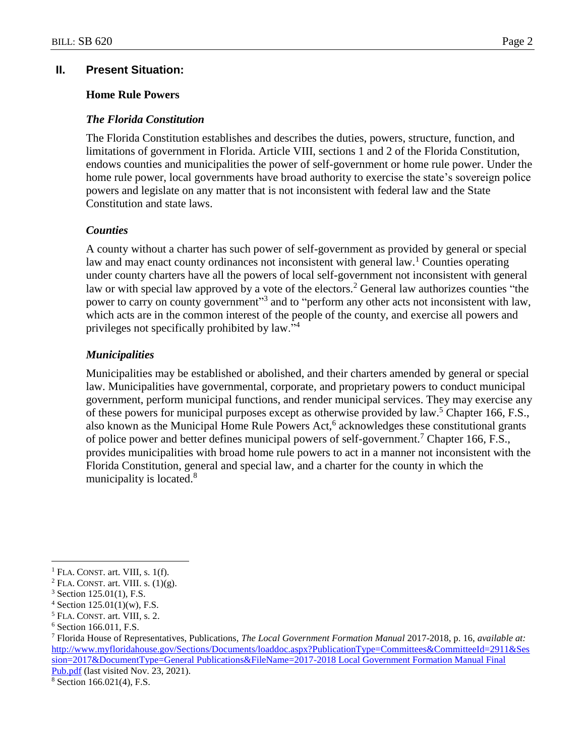## **II. Present Situation:**

### **Home Rule Powers**

### *The Florida Constitution*

The Florida Constitution establishes and describes the duties, powers, structure, function, and limitations of government in Florida. Article VIII, sections 1 and 2 of the Florida Constitution, endows counties and municipalities the power of self-government or home rule power. Under the home rule power, local governments have broad authority to exercise the state's sovereign police powers and legislate on any matter that is not inconsistent with federal law and the State Constitution and state laws.

### *Counties*

A county without a charter has such power of self-government as provided by general or special law and may enact county ordinances not inconsistent with general law.<sup>1</sup> Counties operating under county charters have all the powers of local self-government not inconsistent with general law or with special law approved by a vote of the electors.<sup>2</sup> General law authorizes counties "the power to carry on county government<sup>33</sup> and to "perform any other acts not inconsistent with law, which acts are in the common interest of the people of the county, and exercise all powers and privileges not specifically prohibited by law."<sup>4</sup>

## *Municipalities*

Municipalities may be established or abolished, and their charters amended by general or special law. Municipalities have governmental, corporate, and proprietary powers to conduct municipal government, perform municipal functions, and render municipal services. They may exercise any of these powers for municipal purposes except as otherwise provided by law.<sup>5</sup> Chapter 166, F.S., also known as the Municipal Home Rule Powers Act,<sup>6</sup> acknowledges these constitutional grants of police power and better defines municipal powers of self-government.<sup>7</sup> Chapter 166, F.S., provides municipalities with broad home rule powers to act in a manner not inconsistent with the Florida Constitution, general and special law, and a charter for the county in which the municipality is located.<sup>8</sup>

 $\overline{a}$ 

<sup>8</sup> Section 166.021(4), F.S.

 $<sup>1</sup>$  FLA. CONST. art. VIII, s. 1(f).</sup>

 $2$  FLA. CONST. art. VIII. s.  $(1)(g)$ .

 $3$  Section 125.01(1), F.S.

 $4$  Section 125.01(1)(w), F.S.

<sup>5</sup> FLA. CONST. art. VIII, s. 2.

<sup>6</sup> Section 166.011, F.S.

<sup>7</sup> Florida House of Representatives, Publications, *The Local Government Formation Manual* 2017-2018, p. 16, *available at:* [http://www.myfloridahouse.gov/Sections/Documents/loaddoc.aspx?PublicationType=Committees&CommitteeId=2911&Ses](http://www.myfloridahouse.gov/Sections/Documents/loaddoc.aspx?PublicationType=Committees&CommitteeId=2911&Session=2017&DocumentType=General%20Publications&FileName=2017-2018%20Local%20Government%20Formation%20Manual%20Final%20Pub.pdf) [sion=2017&DocumentType=General Publications&FileName=2017-2018 Local Government Formation Manual Final](http://www.myfloridahouse.gov/Sections/Documents/loaddoc.aspx?PublicationType=Committees&CommitteeId=2911&Session=2017&DocumentType=General%20Publications&FileName=2017-2018%20Local%20Government%20Formation%20Manual%20Final%20Pub.pdf)  [Pub.pdf](http://www.myfloridahouse.gov/Sections/Documents/loaddoc.aspx?PublicationType=Committees&CommitteeId=2911&Session=2017&DocumentType=General%20Publications&FileName=2017-2018%20Local%20Government%20Formation%20Manual%20Final%20Pub.pdf) (last visited Nov. 23, 2021).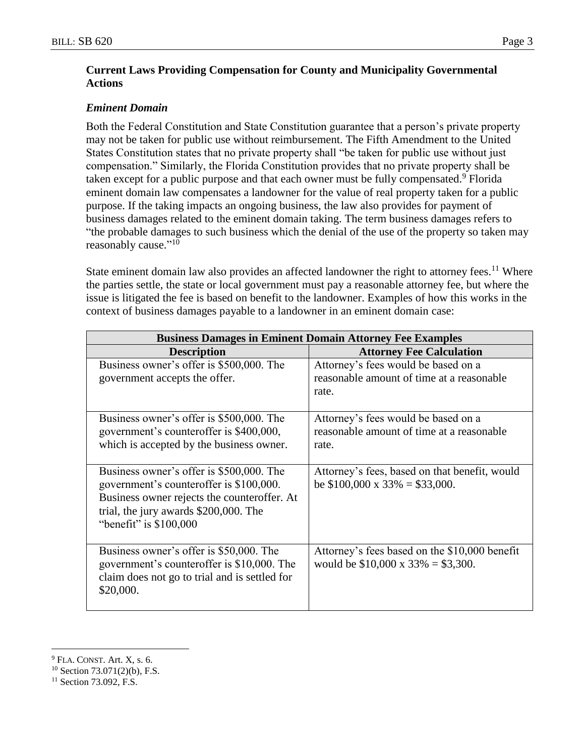# **Current Laws Providing Compensation for County and Municipality Governmental Actions**

# *Eminent Domain*

Both the Federal Constitution and State Constitution guarantee that a person's private property may not be taken for public use without reimbursement. The Fifth Amendment to the United States Constitution states that no private property shall "be taken for public use without just compensation." Similarly, the Florida Constitution provides that no private property shall be taken except for a public purpose and that each owner must be fully compensated.<sup>9</sup> Florida eminent domain law compensates a landowner for the value of real property taken for a public purpose. If the taking impacts an ongoing business, the law also provides for payment of business damages related to the eminent domain taking. The term business damages refers to "the probable damages to such business which the denial of the use of the property so taken may reasonably cause."<sup>10</sup>

State eminent domain law also provides an affected landowner the right to attorney fees.<sup>11</sup> Where the parties settle, the state or local government must pay a reasonable attorney fee, but where the issue is litigated the fee is based on benefit to the landowner. Examples of how this works in the context of business damages payable to a landowner in an eminent domain case:

| <b>Business Damages in Eminent Domain Attorney Fee Examples</b>                                                                                                                                        |                                                                                            |  |  |  |
|--------------------------------------------------------------------------------------------------------------------------------------------------------------------------------------------------------|--------------------------------------------------------------------------------------------|--|--|--|
| <b>Description</b>                                                                                                                                                                                     | <b>Attorney Fee Calculation</b>                                                            |  |  |  |
| Business owner's offer is \$500,000. The<br>government accepts the offer.                                                                                                                              | Attorney's fees would be based on a<br>reasonable amount of time at a reasonable<br>rate.  |  |  |  |
| Business owner's offer is \$500,000. The<br>government's counteroffer is \$400,000,<br>which is accepted by the business owner.                                                                        | Attorney's fees would be based on a<br>reasonable amount of time at a reasonable<br>rate.  |  |  |  |
| Business owner's offer is \$500,000. The<br>government's counteroffer is \$100,000.<br>Business owner rejects the counteroffer. At<br>trial, the jury awards \$200,000. The<br>"benefit" is $$100,000$ | Attorney's fees, based on that benefit, would<br>be $$100,000 \times 33\% = $33,000$ .     |  |  |  |
| Business owner's offer is \$50,000. The<br>government's counteroffer is \$10,000. The<br>claim does not go to trial and is settled for<br>\$20,000.                                                    | Attorney's fees based on the \$10,000 benefit<br>would be $$10,000 \times 33\% = $3,300$ . |  |  |  |

<sup>9</sup> FLA. CONST. Art. X, s. 6.

<sup>10</sup> Section 73.071(2)(b), F.S.

<sup>&</sup>lt;sup>11</sup> Section 73.092, F.S.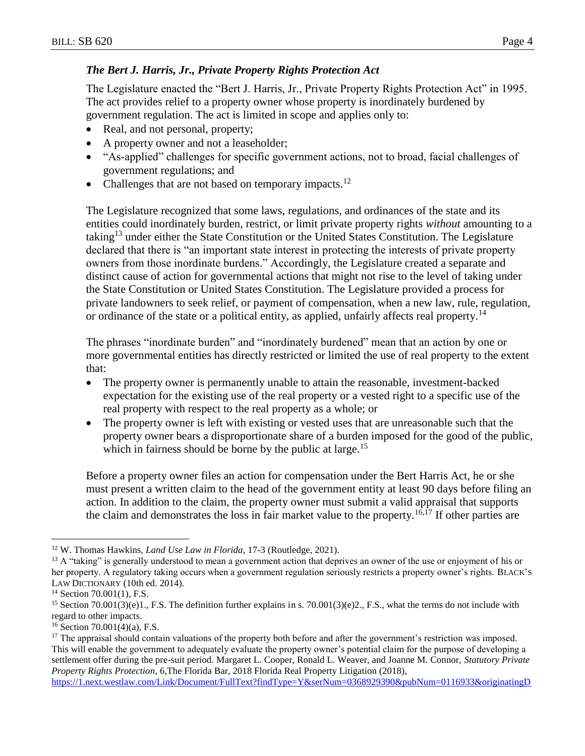## *The Bert J. Harris, Jr., Private Property Rights Protection Act*

The Legislature enacted the "Bert J. Harris, Jr., Private Property Rights Protection Act" in 1995. The act provides relief to a property owner whose property is inordinately burdened by government regulation. The act is limited in scope and applies only to:

- Real, and not personal, property;
- A property owner and not a leaseholder;
- "As-applied" challenges for specific government actions, not to broad, facial challenges of government regulations; and
- Challenges that are not based on temporary impacts.<sup>12</sup>

The Legislature recognized that some laws, regulations, and ordinances of the state and its entities could inordinately burden, restrict, or limit private property rights *without* amounting to a taking<sup>13</sup> under either the State Constitution or the United States Constitution. The Legislature declared that there is "an important state interest in protecting the interests of private property owners from those inordinate burdens." Accordingly, the Legislature created a separate and distinct cause of action for governmental actions that might not rise to the level of taking under the State Constitution or United States Constitution. The Legislature provided a process for private landowners to seek relief, or payment of compensation, when a new law, rule, regulation, or ordinance of the state or a political entity, as applied, unfairly affects real property.<sup>14</sup>

The phrases "inordinate burden" and "inordinately burdened" mean that an action by one or more governmental entities has directly restricted or limited the use of real property to the extent that:

- The property owner is permanently unable to attain the reasonable, investment-backed expectation for the existing use of the real property or a vested right to a specific use of the real property with respect to the real property as a whole; or
- The property owner is left with existing or vested uses that are unreasonable such that the property owner bears a disproportionate share of a burden imposed for the good of the public, which in fairness should be borne by the public at large.<sup>15</sup>

Before a property owner files an action for compensation under the Bert Harris Act, he or she must present a written claim to the head of the government entity at least 90 days before filing an action. In addition to the claim, the property owner must submit a valid appraisal that supports the claim and demonstrates the loss in fair market value to the property.<sup>16,17</sup> If other parties are

```
https://1.next.westlaw.com/Link/Document/FullText?findType=Y&serNum=0368929390&pubNum=0116933&originatingD
```
<sup>12</sup> W. Thomas Hawkins, *Land Use Law in Florida*, 17-3 (Routledge, 2021).

<sup>&</sup>lt;sup>13</sup> A "taking" is generally understood to mean a government action that deprives an owner of the use or enjoyment of his or her property. A regulatory taking occurs when a government regulation seriously restricts a property owner's rights. BLACK'S LAW DICTIONARY (10th ed. 2014).

<sup>&</sup>lt;sup>14</sup> Section 70.001(1), F.S.

<sup>&</sup>lt;sup>15</sup> Section 70.001(3)(e)1., F.S. The definition further explains in s. 70.001(3)(e)2., F.S., what the terms do not include with regard to other impacts.

 $16$  Section 70.001(4)(a), F.S.

<sup>&</sup>lt;sup>17</sup> The appraisal should contain valuations of the property both before and after the government's restriction was imposed. This will enable the government to adequately evaluate the property owner's potential claim for the purpose of developing a settlement offer during the pre-suit period. Margaret L. Cooper, Ronald L. Weaver, and Joanne M. Connor, *Statutory Private Property Rights Protection*, 6,The Florida Bar, 2018 Florida Real Property Litigation (2018),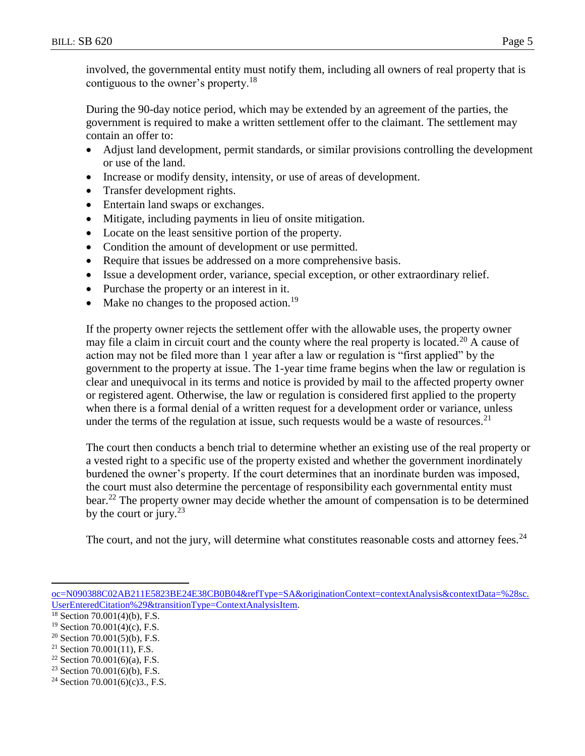involved, the governmental entity must notify them, including all owners of real property that is contiguous to the owner's property.<sup>18</sup>

During the 90-day notice period, which may be extended by an agreement of the parties, the government is required to make a written settlement offer to the claimant. The settlement may contain an offer to:

- Adjust land development, permit standards, or similar provisions controlling the development or use of the land.
- Increase or modify density, intensity, or use of areas of development.
- Transfer development rights.
- Entertain land swaps or exchanges.
- Mitigate, including payments in lieu of onsite mitigation.
- Locate on the least sensitive portion of the property.
- Condition the amount of development or use permitted.
- Require that issues be addressed on a more comprehensive basis.
- Issue a development order, variance, special exception, or other extraordinary relief.
- Purchase the property or an interest in it.
- Make no changes to the proposed action.<sup>19</sup>

If the property owner rejects the settlement offer with the allowable uses, the property owner may file a claim in circuit court and the county where the real property is located.<sup>20</sup> A cause of action may not be filed more than 1 year after a law or regulation is "first applied" by the government to the property at issue. The 1-year time frame begins when the law or regulation is clear and unequivocal in its terms and notice is provided by mail to the affected property owner or registered agent. Otherwise, the law or regulation is considered first applied to the property when there is a formal denial of a written request for a development order or variance, unless under the terms of the regulation at issue, such requests would be a waste of resources.<sup>21</sup>

The court then conducts a bench trial to determine whether an existing use of the real property or a vested right to a specific use of the property existed and whether the government inordinately burdened the owner's property. If the court determines that an inordinate burden was imposed, the court must also determine the percentage of responsibility each governmental entity must bear.<sup>22</sup> The property owner may decide whether the amount of compensation is to be determined by the court or jury. $^{23}$ 

The court, and not the jury, will determine what constitutes reasonable costs and attorney fees.  $24$ 

[oc=N090388C02AB211E5823BE24E38CB0B04&refType=SA&originationContext=contextAnalysis&contextData=%28sc.](https://1.next.westlaw.com/Link/Document/FullText?findType=Y&serNum=0368929390&pubNum=0116933&originatingDoc=N090388C02AB211E5823BE24E38CB0B04&refType=SA&originationContext=contextAnalysis&contextData=%28sc.UserEnteredCitation%29&transitionType=ContextAnalysisItem) [UserEnteredCitation%29&transitionType=ContextAnalysisItem.](https://1.next.westlaw.com/Link/Document/FullText?findType=Y&serNum=0368929390&pubNum=0116933&originatingDoc=N090388C02AB211E5823BE24E38CB0B04&refType=SA&originationContext=contextAnalysis&contextData=%28sc.UserEnteredCitation%29&transitionType=ContextAnalysisItem)

<sup>18</sup> Section 70.001(4)(b), F.S.

 $19$  Section 70.001(4)(c), F.S.

 $20$  Section 70.001(5)(b), F.S.

 $21$  Section 70.001(11), F.S.

<sup>&</sup>lt;sup>22</sup> Section 70.001(6)(a), F.S.

 $23$  Section 70.001(6)(b), F.S.

<sup>&</sup>lt;sup>24</sup> Section 70.001(6)(c)3., F.S.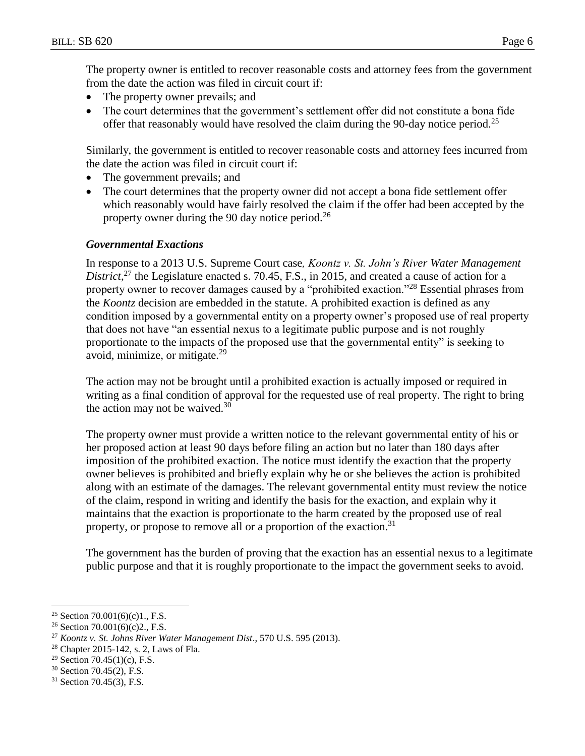The property owner is entitled to recover reasonable costs and attorney fees from the government from the date the action was filed in circuit court if:

- The property owner prevails; and
- The court determines that the government's settlement offer did not constitute a bona fide offer that reasonably would have resolved the claim during the 90-day notice period.<sup>25</sup>

Similarly, the government is entitled to recover reasonable costs and attorney fees incurred from the date the action was filed in circuit court if:

- The government prevails; and
- The court determines that the property owner did not accept a bona fide settlement offer which reasonably would have fairly resolved the claim if the offer had been accepted by the property owner during the 90 day notice period.<sup>26</sup>

## *Governmental Exactions*

In response to a 2013 U.S. Supreme Court case*, Koontz v. St. John's River Water Management*  District,<sup>27</sup> the Legislature enacted s. 70.45, F.S., in 2015, and created a cause of action for a property owner to recover damages caused by a "prohibited exaction."<sup>28</sup> Essential phrases from the *Koontz* decision are embedded in the statute. A prohibited exaction is defined as any condition imposed by a governmental entity on a property owner's proposed use of real property that does not have "an essential nexus to a legitimate public purpose and is not roughly proportionate to the impacts of the proposed use that the governmental entity" is seeking to avoid, minimize, or mitigate.<sup>29</sup>

The action may not be brought until a prohibited exaction is actually imposed or required in writing as a final condition of approval for the requested use of real property. The right to bring the action may not be waived.<sup>30</sup>

The property owner must provide a written notice to the relevant governmental entity of his or her proposed action at least 90 days before filing an action but no later than 180 days after imposition of the prohibited exaction. The notice must identify the exaction that the property owner believes is prohibited and briefly explain why he or she believes the action is prohibited along with an estimate of the damages. The relevant governmental entity must review the notice of the claim, respond in writing and identify the basis for the exaction, and explain why it maintains that the exaction is proportionate to the harm created by the proposed use of real property, or propose to remove all or a proportion of the exaction.<sup>31</sup>

The government has the burden of proving that the exaction has an essential nexus to a legitimate public purpose and that it is roughly proportionate to the impact the government seeks to avoid.

 $\overline{a}$ <sup>25</sup> Section 70.001(6)(c)1, F.S.

<sup>&</sup>lt;sup>26</sup> Section 70.001(6)(c)2., F.S.

<sup>27</sup> *Koontz v. St. Johns River Water Management Dist*., 570 U.S. 595 (2013).

<sup>28</sup> Chapter 2015-142, s. 2, Laws of Fla.

<sup>&</sup>lt;sup>29</sup> Section 70.45(1)(c), F.S.

<sup>30</sup> Section 70.45(2), F.S.

<sup>31</sup> Section 70.45(3), F.S.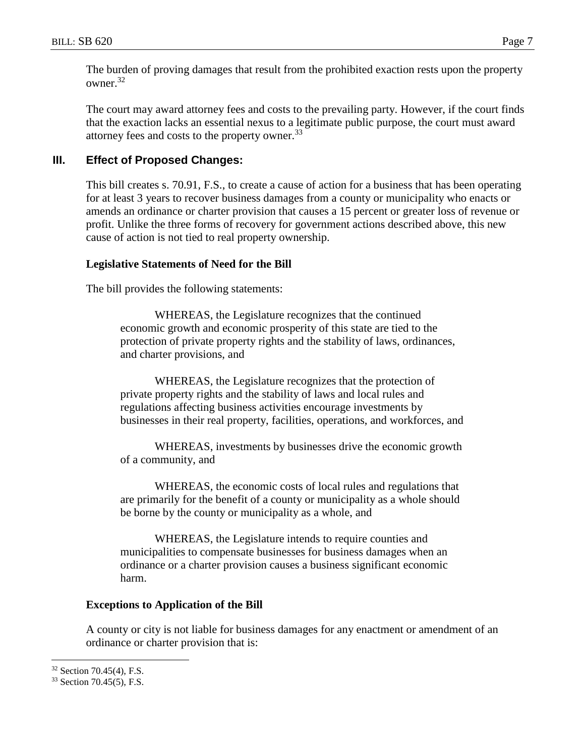The burden of proving damages that result from the prohibited exaction rests upon the property owner.<sup>32</sup>

The court may award attorney fees and costs to the prevailing party. However, if the court finds that the exaction lacks an essential nexus to a legitimate public purpose, the court must award attorney fees and costs to the property owner.<sup>33</sup>

# **III. Effect of Proposed Changes:**

This bill creates s. 70.91, F.S., to create a cause of action for a business that has been operating for at least 3 years to recover business damages from a county or municipality who enacts or amends an ordinance or charter provision that causes a 15 percent or greater loss of revenue or profit. Unlike the three forms of recovery for government actions described above, this new cause of action is not tied to real property ownership.

# **Legislative Statements of Need for the Bill**

The bill provides the following statements:

WHEREAS, the Legislature recognizes that the continued economic growth and economic prosperity of this state are tied to the protection of private property rights and the stability of laws, ordinances, and charter provisions, and

WHEREAS, the Legislature recognizes that the protection of private property rights and the stability of laws and local rules and regulations affecting business activities encourage investments by businesses in their real property, facilities, operations, and workforces, and

WHEREAS, investments by businesses drive the economic growth of a community, and

WHEREAS, the economic costs of local rules and regulations that are primarily for the benefit of a county or municipality as a whole should be borne by the county or municipality as a whole, and

WHEREAS, the Legislature intends to require counties and municipalities to compensate businesses for business damages when an ordinance or a charter provision causes a business significant economic harm.

## **Exceptions to Application of the Bill**

A county or city is not liable for business damages for any enactment or amendment of an ordinance or charter provision that is:

<sup>32</sup> Section 70.45(4), F.S.

<sup>33</sup> Section 70.45(5), F.S.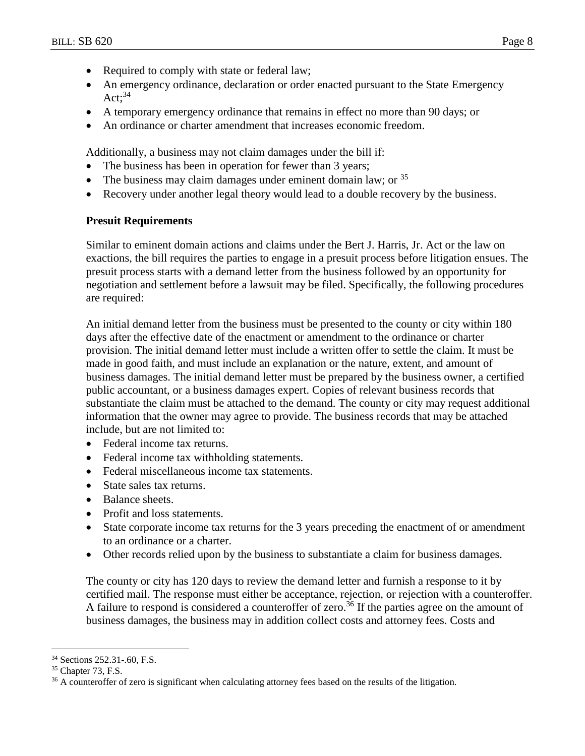- Required to comply with state or federal law;
- An emergency ordinance, declaration or order enacted pursuant to the State Emergency  $Act:34$
- A temporary emergency ordinance that remains in effect no more than 90 days; or
- An ordinance or charter amendment that increases economic freedom.

Additionally, a business may not claim damages under the bill if:

- The business has been in operation for fewer than 3 years;
- The business may claim damages under eminent domain law; or  $35$
- Recovery under another legal theory would lead to a double recovery by the business.

#### **Presuit Requirements**

Similar to eminent domain actions and claims under the Bert J. Harris, Jr. Act or the law on exactions, the bill requires the parties to engage in a presuit process before litigation ensues. The presuit process starts with a demand letter from the business followed by an opportunity for negotiation and settlement before a lawsuit may be filed. Specifically, the following procedures are required:

An initial demand letter from the business must be presented to the county or city within 180 days after the effective date of the enactment or amendment to the ordinance or charter provision. The initial demand letter must include a written offer to settle the claim. It must be made in good faith, and must include an explanation or the nature, extent, and amount of business damages. The initial demand letter must be prepared by the business owner, a certified public accountant, or a business damages expert. Copies of relevant business records that substantiate the claim must be attached to the demand. The county or city may request additional information that the owner may agree to provide. The business records that may be attached include, but are not limited to:

- Federal income tax returns.
- Federal income tax withholding statements.
- Federal miscellaneous income tax statements.
- State sales tax returns.
- Balance sheets.
- Profit and loss statements.
- State corporate income tax returns for the 3 years preceding the enactment of or amendment to an ordinance or a charter.
- Other records relied upon by the business to substantiate a claim for business damages.

The county or city has 120 days to review the demand letter and furnish a response to it by certified mail. The response must either be acceptance, rejection, or rejection with a counteroffer. A failure to respond is considered a counteroffer of zero.<sup>36</sup> If the parties agree on the amount of business damages, the business may in addition collect costs and attorney fees. Costs and

<sup>34</sup> Sections 252.31-.60, F.S.

<sup>35</sup> Chapter 73, F.S.

<sup>&</sup>lt;sup>36</sup> A counteroffer of zero is significant when calculating attorney fees based on the results of the litigation.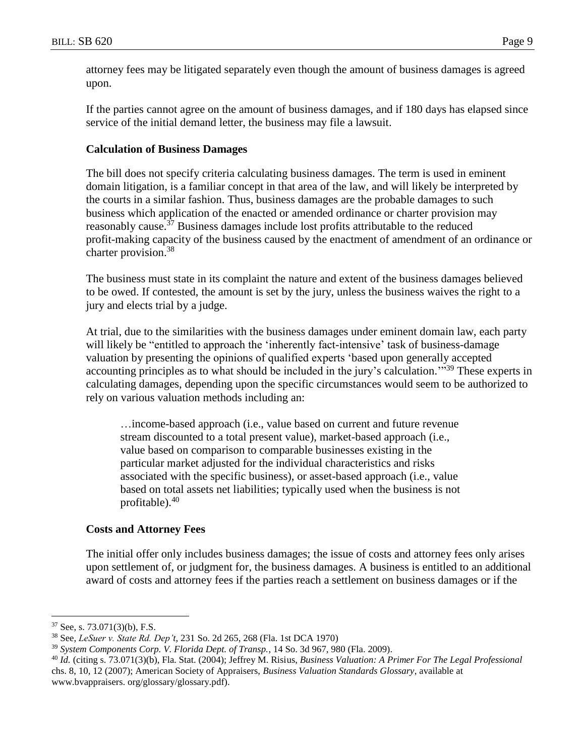attorney fees may be litigated separately even though the amount of business damages is agreed upon.

If the parties cannot agree on the amount of business damages, and if 180 days has elapsed since service of the initial demand letter, the business may file a lawsuit.

#### **Calculation of Business Damages**

The bill does not specify criteria calculating business damages. The term is used in eminent domain litigation, is a familiar concept in that area of the law, and will likely be interpreted by the courts in a similar fashion. Thus, business damages are the probable damages to such business which application of the enacted or amended ordinance or charter provision may reasonably cause.<sup>37</sup> Business damages include lost profits attributable to the reduced profit-making capacity of the business caused by the enactment of amendment of an ordinance or charter provision.<sup>38</sup>

The business must state in its complaint the nature and extent of the business damages believed to be owed. If contested, the amount is set by the jury, unless the business waives the right to a jury and elects trial by a judge.

At trial, due to the similarities with the business damages under eminent domain law, each party will likely be "entitled to approach the 'inherently fact-intensive' task of business-damage valuation by presenting the opinions of qualified experts 'based upon generally accepted accounting principles as to what should be included in the jury's calculation."<sup>39</sup> These experts in calculating damages, depending upon the specific circumstances would seem to be authorized to rely on various valuation methods including an:

…income-based approach (i.e., value based on current and future revenue stream discounted to a total present value), market-based approach (i.e., value based on comparison to comparable businesses existing in the particular market adjusted for the individual characteristics and risks associated with the specific business), or asset-based approach (i.e., value based on total assets net liabilities; typically used when the business is not profitable). $40$ 

## **Costs and Attorney Fees**

The initial offer only includes business damages; the issue of costs and attorney fees only arises upon settlement of, or judgment for, the business damages. A business is entitled to an additional award of costs and attorney fees if the parties reach a settlement on business damages or if the

<sup>37</sup> See, s. 73.071(3)(b), F.S.

<sup>38</sup> See, *LeSuer v. State Rd. Dep't*, 231 So. 2d 265, 268 (Fla. 1st DCA 1970)

<sup>39</sup> *System Components Corp. V. Florida Dept. of Transp.*, 14 So. 3d 967, 980 (Fla. 2009).

<sup>40</sup> *Id.* (citing s. 73.071(3)(b), Fla. Stat. (2004); Jeffrey M. Risius, *Business Valuation: A Primer For The Legal Professional* chs. 8, 10, 12 (2007); American Society of Appraisers, *Business Valuation Standards Glossary*, available at www.bvappraisers. org/glossary/glossary.pdf).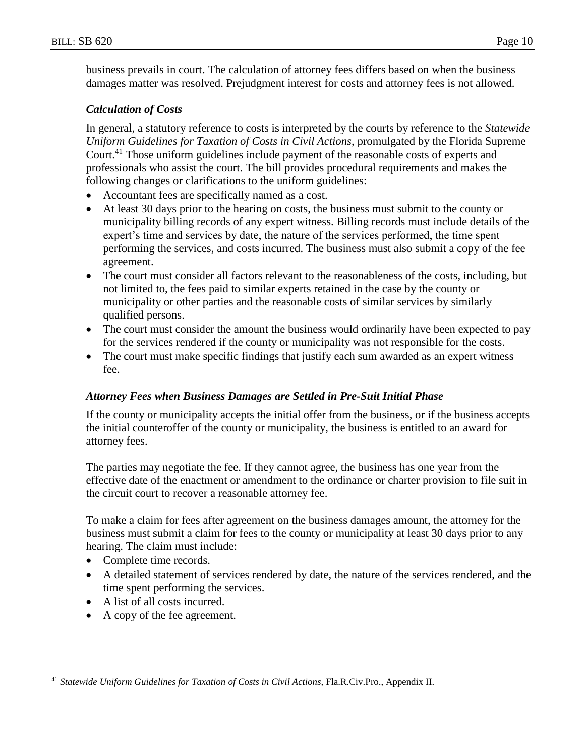business prevails in court. The calculation of attorney fees differs based on when the business damages matter was resolved. Prejudgment interest for costs and attorney fees is not allowed.

## *Calculation of Costs*

In general, a statutory reference to costs is interpreted by the courts by reference to the *Statewide Uniform Guidelines for Taxation of Costs in Civil Actions*, promulgated by the Florida Supreme Court.<sup>41</sup> Those uniform guidelines include payment of the reasonable costs of experts and professionals who assist the court. The bill provides procedural requirements and makes the following changes or clarifications to the uniform guidelines:

- Accountant fees are specifically named as a cost.
- At least 30 days prior to the hearing on costs, the business must submit to the county or municipality billing records of any expert witness. Billing records must include details of the expert's time and services by date, the nature of the services performed, the time spent performing the services, and costs incurred. The business must also submit a copy of the fee agreement.
- The court must consider all factors relevant to the reasonableness of the costs, including, but not limited to, the fees paid to similar experts retained in the case by the county or municipality or other parties and the reasonable costs of similar services by similarly qualified persons.
- The court must consider the amount the business would ordinarily have been expected to pay for the services rendered if the county or municipality was not responsible for the costs.
- The court must make specific findings that justify each sum awarded as an expert witness fee.

## *Attorney Fees when Business Damages are Settled in Pre-Suit Initial Phase*

If the county or municipality accepts the initial offer from the business, or if the business accepts the initial counteroffer of the county or municipality, the business is entitled to an award for attorney fees.

The parties may negotiate the fee. If they cannot agree, the business has one year from the effective date of the enactment or amendment to the ordinance or charter provision to file suit in the circuit court to recover a reasonable attorney fee.

To make a claim for fees after agreement on the business damages amount, the attorney for the business must submit a claim for fees to the county or municipality at least 30 days prior to any hearing. The claim must include:

- Complete time records.
- A detailed statement of services rendered by date, the nature of the services rendered, and the time spent performing the services.
- A list of all costs incurred.
- A copy of the fee agreement.

 $\overline{a}$ <sup>41</sup> *Statewide Uniform Guidelines for Taxation of Costs in Civil Actions,* Fla.R.Civ.Pro., Appendix II.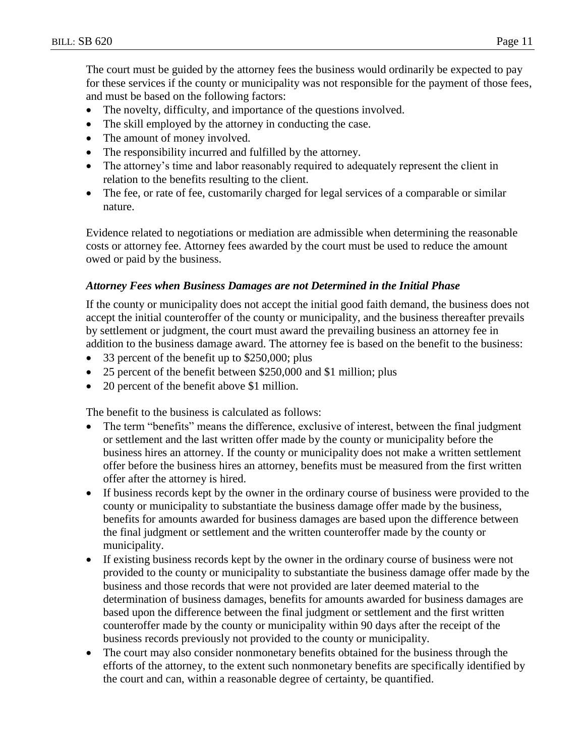The court must be guided by the attorney fees the business would ordinarily be expected to pay for these services if the county or municipality was not responsible for the payment of those fees, and must be based on the following factors:

- The novelty, difficulty, and importance of the questions involved.
- The skill employed by the attorney in conducting the case.
- The amount of money involved.
- The responsibility incurred and fulfilled by the attorney.
- The attorney's time and labor reasonably required to adequately represent the client in relation to the benefits resulting to the client.
- The fee, or rate of fee, customarily charged for legal services of a comparable or similar nature.

Evidence related to negotiations or mediation are admissible when determining the reasonable costs or attorney fee. Attorney fees awarded by the court must be used to reduce the amount owed or paid by the business.

## *Attorney Fees when Business Damages are not Determined in the Initial Phase*

If the county or municipality does not accept the initial good faith demand, the business does not accept the initial counteroffer of the county or municipality, and the business thereafter prevails by settlement or judgment, the court must award the prevailing business an attorney fee in addition to the business damage award. The attorney fee is based on the benefit to the business:

- 33 percent of the benefit up to \$250,000; plus
- 25 percent of the benefit between \$250,000 and \$1 million; plus
- 20 percent of the benefit above \$1 million.

The benefit to the business is calculated as follows:

- The term "benefits" means the difference, exclusive of interest, between the final judgment or settlement and the last written offer made by the county or municipality before the business hires an attorney. If the county or municipality does not make a written settlement offer before the business hires an attorney, benefits must be measured from the first written offer after the attorney is hired.
- If business records kept by the owner in the ordinary course of business were provided to the county or municipality to substantiate the business damage offer made by the business, benefits for amounts awarded for business damages are based upon the difference between the final judgment or settlement and the written counteroffer made by the county or municipality.
- If existing business records kept by the owner in the ordinary course of business were not provided to the county or municipality to substantiate the business damage offer made by the business and those records that were not provided are later deemed material to the determination of business damages, benefits for amounts awarded for business damages are based upon the difference between the final judgment or settlement and the first written counteroffer made by the county or municipality within 90 days after the receipt of the business records previously not provided to the county or municipality.
- The court may also consider nonmonetary benefits obtained for the business through the efforts of the attorney, to the extent such nonmonetary benefits are specifically identified by the court and can, within a reasonable degree of certainty, be quantified.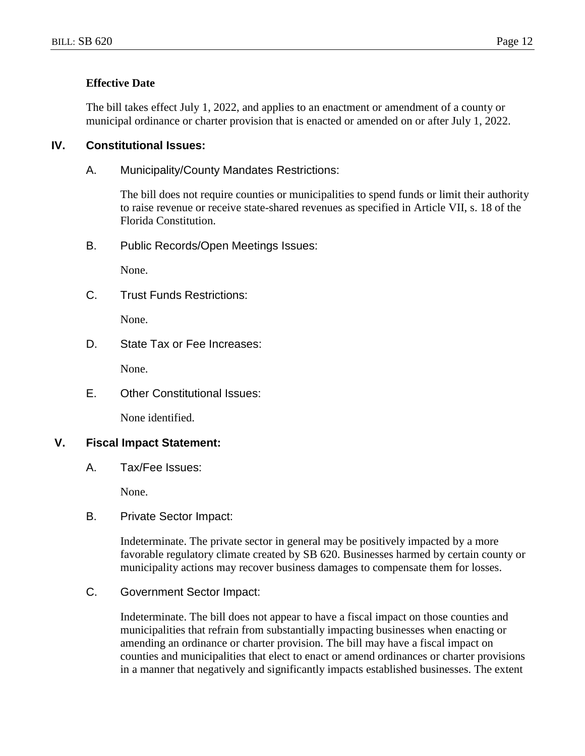#### **Effective Date**

The bill takes effect July 1, 2022, and applies to an enactment or amendment of a county or municipal ordinance or charter provision that is enacted or amended on or after July 1, 2022.

## **IV. Constitutional Issues:**

A. Municipality/County Mandates Restrictions:

The bill does not require counties or municipalities to spend funds or limit their authority to raise revenue or receive state-shared revenues as specified in Article VII, s. 18 of the Florida Constitution.

B. Public Records/Open Meetings Issues:

None.

C. Trust Funds Restrictions:

None.

D. State Tax or Fee Increases:

None.

E. Other Constitutional Issues:

None identified.

# **V. Fiscal Impact Statement:**

A. Tax/Fee Issues:

None.

B. Private Sector Impact:

Indeterminate. The private sector in general may be positively impacted by a more favorable regulatory climate created by SB 620. Businesses harmed by certain county or municipality actions may recover business damages to compensate them for losses.

C. Government Sector Impact:

Indeterminate. The bill does not appear to have a fiscal impact on those counties and municipalities that refrain from substantially impacting businesses when enacting or amending an ordinance or charter provision. The bill may have a fiscal impact on counties and municipalities that elect to enact or amend ordinances or charter provisions in a manner that negatively and significantly impacts established businesses. The extent